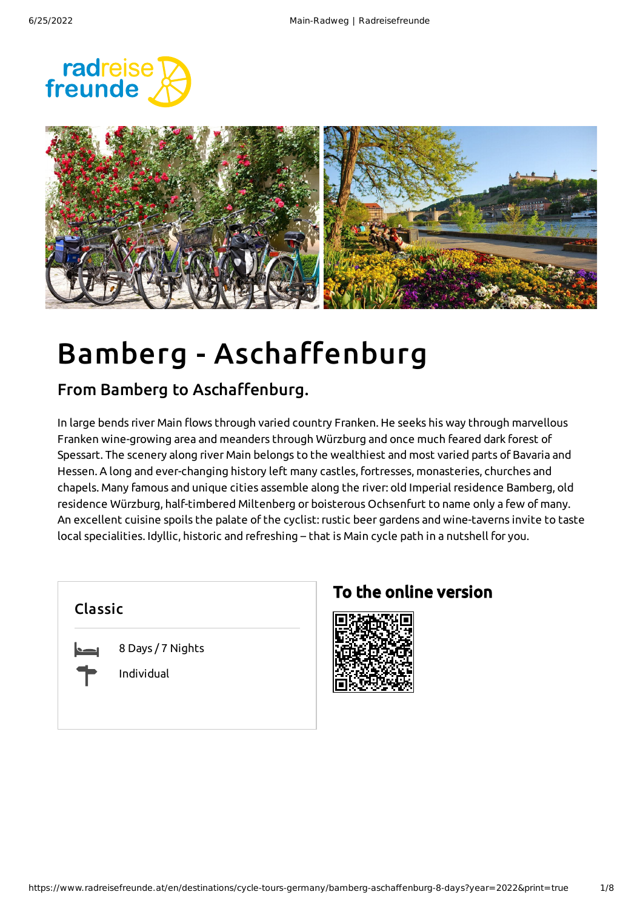



# Bamberg - Aschaffenburg

#### From Bamberg to Aschaffenburg.

In large bends river Main flows through varied country Franken. He seeks his way through marvellous Franken wine-growing area and meanders through Würzburg and once much feared dark forest of Spessart. The scenery along river Main belongs to the wealthiest and most varied parts of Bavaria and Hessen. A long and ever-changing history left many castles, fortresses, monasteries, churches and chapels. Many famous and unique cities assemble along the river: old Imperial residence Bamberg, old residence Würzburg, half-timbered Miltenberg or boisterous Ochsenfurt to name only a few of many. An excellent cuisine spoils the palate of the cyclist: rustic beer gardens and wine-taverns invite to taste local specialities. Idyllic, historic and refreshing – that is Main cycle path in a nutshell for you.

| <b>Classic</b> |                                 |  |
|----------------|---------------------------------|--|
| $\sim$         | 8 Days / 7 Nights<br>Individual |  |

### To the online version

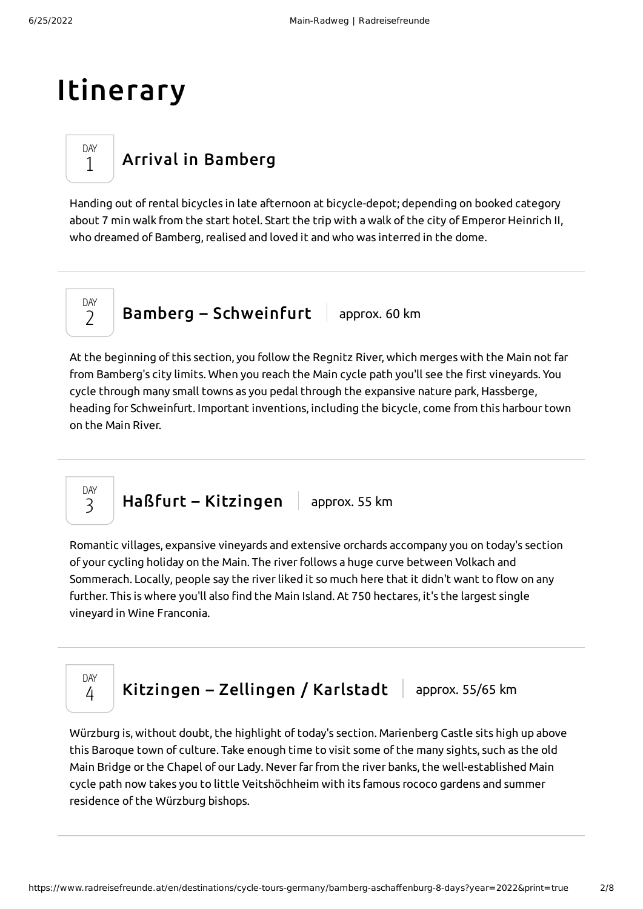### Itinerary

### Arrival in [Bamberg](#page-1-0)

<span id="page-1-0"></span>Handing out ofrental bicycles in late afternoon at bicycle-depot; depending on booked category about 7 min walk from the start hotel. Start the trip with a walk of the city of Emperor Heinrich II, who dreamed of Bamberg, realised and loved it and who was interred in the dome.

DAY  $\overline{\phantom{a}}$ 

> DAY 3

> DAY 1

> > Bamberg – [Schweinfurt](#page-1-1)  $\vert$  approx. 60 km

<span id="page-1-1"></span>At the beginning of this section, you follow the Regnitz River, which merges with the Main not far from Bamberg's city limits. When you reach the Main cycle path you'll see the first vineyards. You cycle through many small towns as you pedal through the expansive nature park, Hassberge, heading for Schweinfurt. Important inventions, including the bicycle, come from this harbour town on the Main River.

 $HaBfurt - Kitzingen$  $HaBfurt - Kitzingen$  approx. 55 km

<span id="page-1-2"></span>Romantic villages, expansive vineyards and extensive orchards accompany you on today's section of your cycling holiday on the Main. The riverfollows a huge curve between Volkach and Sommerach. Locally, people say the riverliked it so much here that it didn't want to flow on any further. This is where you'll also find the Main Island. At 750 hectares, it's the largest single vineyard in Wine Franconia.

DAY 4

[Kitzingen](#page-1-3) – Zellingen / Karlstadt  $\parallel$  approx. 55/65 km

<span id="page-1-3"></span>Würzburg is, without doubt, the highlight of today's section. Marienberg Castle sits high up above this Baroque town of culture. Take enough time to visit some of the many sights, such as the old Main Bridge or the Chapel of our Lady. Never far from the river banks, the well-established Main cycle path now takes you to little Veitshöchheim with its famous rococo gardens and summer residence of the Würzburg bishops.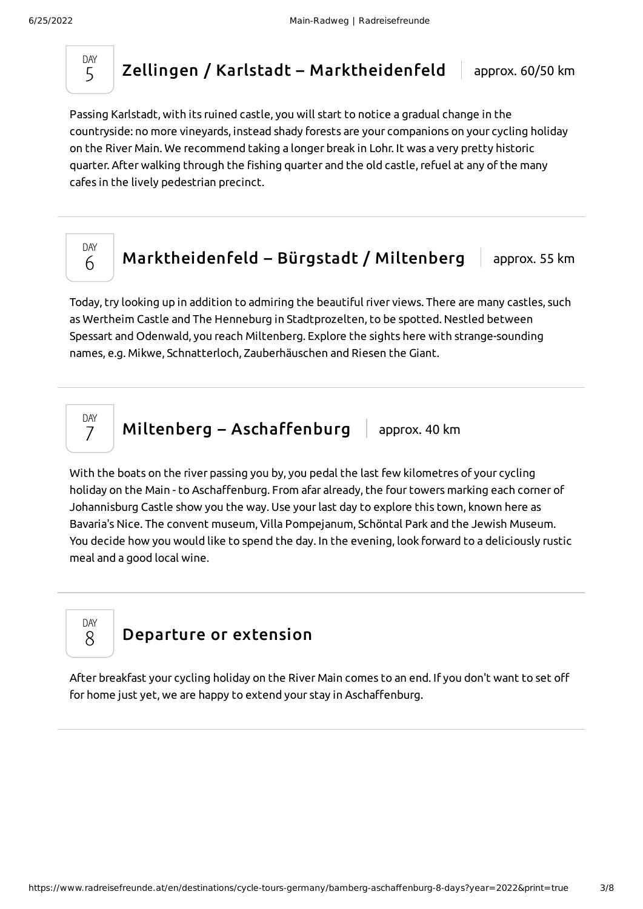DAY 5

Zellingen / Karlstadt – [Marktheidenfeld](#page-2-0) | approx. 60/50 km

<span id="page-2-0"></span>Passing Karlstadt, with its ruined castle, you will start to notice a gradual change in the countryside: no more vineyards, instead shady forests are your companions on your cycling holiday on the River Main. We recommend taking a longer break in Lohr. It was a very pretty historic quarter. After walking through the fishing quarter and the old castle,refuel at any of the many cafes in the lively pedestrian precinct.



[Marktheidenfeld](#page-2-1) – Bürgstadt / Miltenberg  $\parallel$  approx. 55 km

<span id="page-2-1"></span>Today, try looking up in addition to admiring the beautiful river views. There are many castles, such as Wertheim Castle and The Henneburg in Stadtprozelten, to be spotted. Nestled between Spessart and Odenwald, you reach Miltenberg. Explore the sights here with strange-sounding names, e.g. Mikwe, Schnatterloch, Zauberhäuschen and Riesen the Giant.

DAY 7

Miltenberg – [Aschaffenburg](#page-2-2)  $\parallel$  approx. 40 km

<span id="page-2-2"></span>With the boats on the river passing you by, you pedal the last few kilometres of your cycling holiday on the Main - to Aschaffenburg. From afar already, the four towers marking each corner of Johannisburg Castle show you the way. Use yourlast day to explore this town, known here as Bavaria's Nice. The convent museum, Villa Pompejanum, Schöntal Park and the Jewish Museum. You decide how you would like to spend the day. In the evening, look forward to a deliciously rustic meal and a good local wine.

DAY 8

#### [Departure](#page-2-3) or extension

<span id="page-2-3"></span>After breakfast your cycling holiday on the River Main comes to an end. If you don't want to set off for home just yet, we are happy to extend your stay in Aschaffenburg.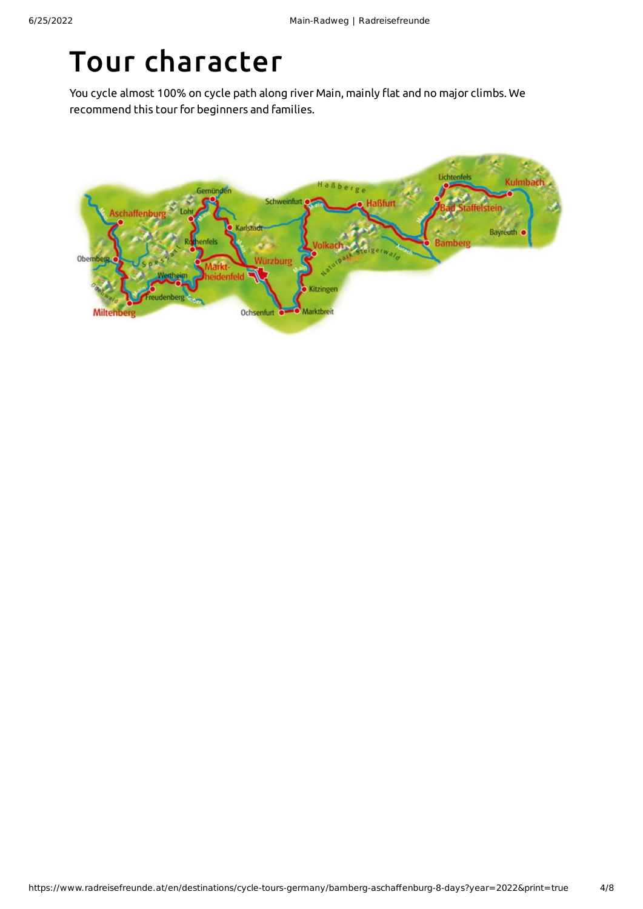# Tour character

You cycle almost 100% on cycle path along river Main, mainly flat and no major climbs. We recommend this tour for beginners and families.

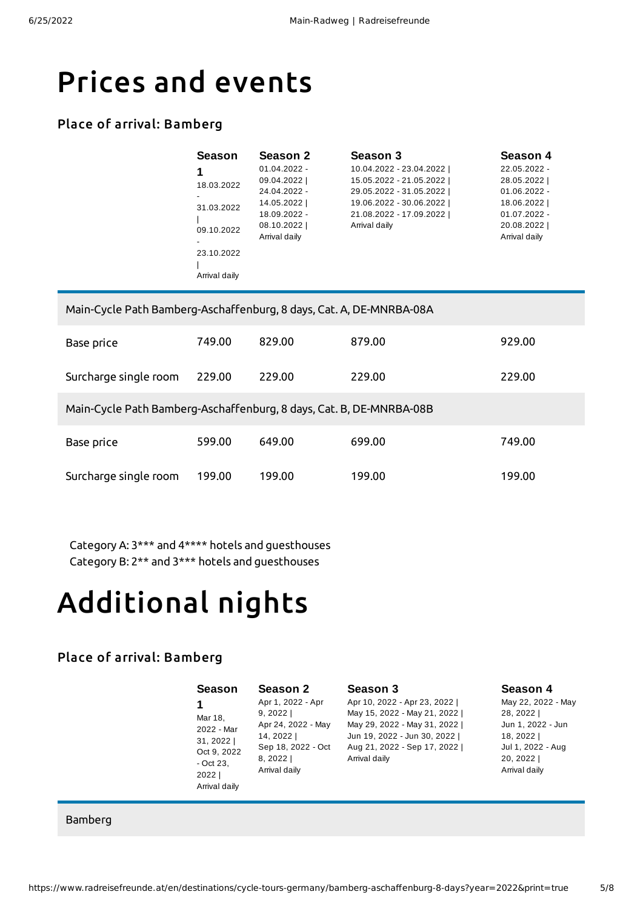### Prices and events

#### Place of arrival: Bamberg

| Season        | Season 2       | Season 3                | Season 4       |
|---------------|----------------|-------------------------|----------------|
|               | $01.04.2022 -$ | 10.04.2022 - 23.04.2022 | 22.05.2022 -   |
| 18.03.2022    | 09.04.2022     | 15.05.2022 - 21.05.2022 | 28.05.2022     |
|               | 24.04.2022 -   | 29.05.2022 - 31.05.2022 | $01.06.2022 -$ |
| 31.03.2022    | 14.05.2022     | 19.06.2022 - 30.06.2022 | 18.06.2022     |
|               | 18.09.2022 -   | 21.08.2022 - 17.09.2022 | $01.07.2022 -$ |
| 09.10.2022    | 08.10.2022     | Arrival daily           | 20.08.2022     |
|               | Arrival daily  |                         | Arrival daily  |
| 23.10.2022    |                |                         |                |
|               |                |                         |                |
| Arrival daily |                |                         |                |

| Main-Cycle Path Bamberg-Aschaffenburg, 8 days, Cat. A, DE-MNRBA-08A |        |        |        |        |
|---------------------------------------------------------------------|--------|--------|--------|--------|
| Base price                                                          | 749.00 | 829.00 | 879.00 | 929.00 |
| Surcharge single room                                               | 229.00 | 229.00 | 229.00 | 229.00 |
| Main-Cycle Path Bamberg-Aschaffenburg, 8 days, Cat. B, DE-MNRBA-08B |        |        |        |        |
| Base price                                                          | 599.00 | 649.00 | 699.00 | 749.00 |
| Surcharge single room                                               | 199.00 | 199.00 | 199.00 | 199.00 |

Category A: 3\*\*\* and 4\*\*\*\* hotels and guesthouses Category B: 2\*\* and 3\*\*\* hotels and guesthouses

# Additional nights

#### Place of arrival: Bamberg

|                                                                                                                                                                                    | Season 4                                                                                                              |
|------------------------------------------------------------------------------------------------------------------------------------------------------------------------------------|-----------------------------------------------------------------------------------------------------------------------|
| Apr 10, 2022 - Apr 23, 2022  <br>May 15, 2022 - May 21, 2022  <br>May 29, 2022 - May 31, 2022  <br>Jun 19, 2022 - Jun 30, 2022  <br>Aug 21, 2022 - Sep 17, 2022  <br>Arrival daily | May 22, 2022 - May<br>28, 2022  <br>Jun 1, 2022 - Jun<br>18, 2022  <br>Jul 1, 2022 - Aug<br>20, 2022<br>Arrival daily |
|                                                                                                                                                                                    | Season 3                                                                                                              |

Bamberg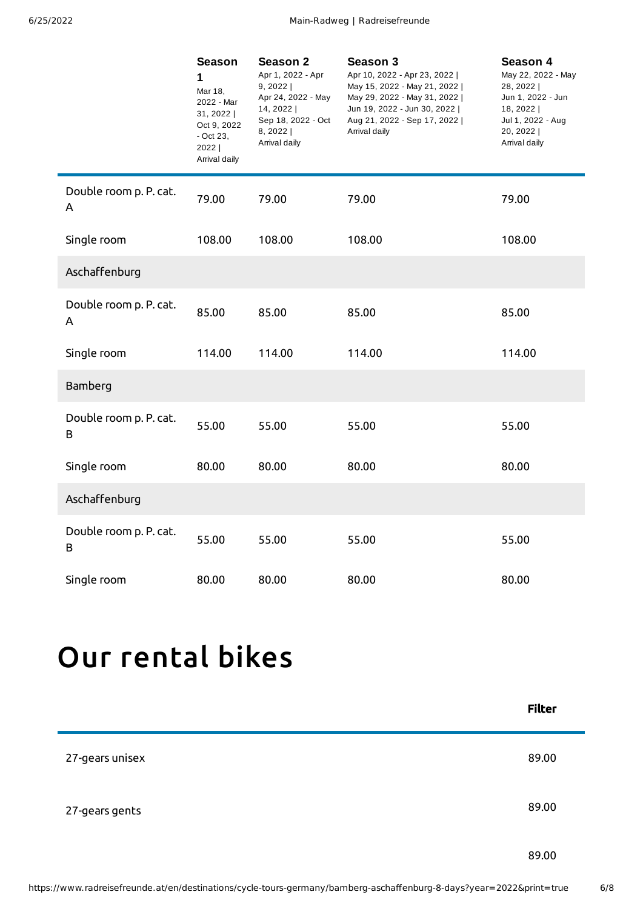|                             | <b>Season</b><br>$\mathbf{1}$<br>Mar 18,<br>2022 - Mar<br>31, 2022<br>Oct 9, 2022<br>$-$ Oct 23,<br>2022  <br>Arrival daily | Season 2<br>Apr 1, 2022 - Apr<br>9, 2022<br>Apr 24, 2022 - May<br>14, 2022  <br>Sep 18, 2022 - Oct<br>$8, 2022$  <br>Arrival daily | Season 3<br>Apr 10, 2022 - Apr 23, 2022  <br>May 15, 2022 - May 21, 2022  <br>May 29, 2022 - May 31, 2022  <br>Jun 19, 2022 - Jun 30, 2022  <br>Aug 21, 2022 - Sep 17, 2022  <br>Arrival daily | Season 4<br>May 22, 2022 - May<br>28, 2022  <br>Jun 1, 2022 - Jun<br>18, 2022  <br>Jul 1, 2022 - Aug<br>20, 2022  <br>Arrival daily |
|-----------------------------|-----------------------------------------------------------------------------------------------------------------------------|------------------------------------------------------------------------------------------------------------------------------------|------------------------------------------------------------------------------------------------------------------------------------------------------------------------------------------------|-------------------------------------------------------------------------------------------------------------------------------------|
| Double room p. P. cat.<br>A | 79.00                                                                                                                       | 79.00                                                                                                                              | 79.00                                                                                                                                                                                          | 79.00                                                                                                                               |
| Single room                 | 108.00                                                                                                                      | 108.00                                                                                                                             | 108.00                                                                                                                                                                                         | 108.00                                                                                                                              |
| Aschaffenburg               |                                                                                                                             |                                                                                                                                    |                                                                                                                                                                                                |                                                                                                                                     |
| Double room p. P. cat.<br>A | 85.00                                                                                                                       | 85.00                                                                                                                              | 85.00                                                                                                                                                                                          | 85.00                                                                                                                               |
| Single room                 | 114.00                                                                                                                      | 114.00                                                                                                                             | 114.00                                                                                                                                                                                         | 114.00                                                                                                                              |
| Bamberg                     |                                                                                                                             |                                                                                                                                    |                                                                                                                                                                                                |                                                                                                                                     |
| Double room p. P. cat.<br>B | 55.00                                                                                                                       | 55.00                                                                                                                              | 55.00                                                                                                                                                                                          | 55.00                                                                                                                               |
| Single room                 | 80.00                                                                                                                       | 80.00                                                                                                                              | 80.00                                                                                                                                                                                          | 80.00                                                                                                                               |
| Aschaffenburg               |                                                                                                                             |                                                                                                                                    |                                                                                                                                                                                                |                                                                                                                                     |
| Double room p. P. cat.<br>B | 55.00                                                                                                                       | 55.00                                                                                                                              | 55.00                                                                                                                                                                                          | 55.00                                                                                                                               |
| Single room                 | 80.00                                                                                                                       | 80.00                                                                                                                              | 80.00                                                                                                                                                                                          | 80.00                                                                                                                               |

# Our [rental](#page-5-0) bikes

<span id="page-5-0"></span>

|                 | <b>Filter</b> |
|-----------------|---------------|
| 27-gears unisex | 89.00         |
| 27-gears gents  | 89.00         |
|                 | 89.00         |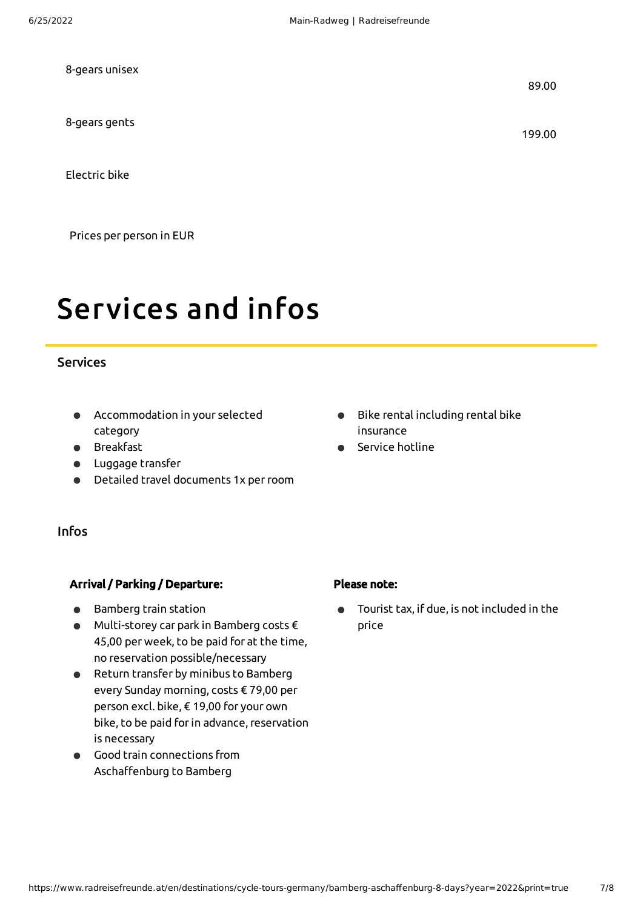| 8-gears unisex | 89.00  |
|----------------|--------|
| 8-gears gents  | 199.00 |
| Electric bike  |        |

Prices per person in EUR

# Services and infos

#### Services

- Accommodation in your selected category
- Breakfast
- Luggage transfer
- Detailed travel documents 1x perroom

#### Infos

#### Arrival / Parking / Departure:

- Bamberg train station
- Multi-storey car park in Bamberg costs € 45,00 per week, to be paid for at the time, no reservation possible/necessary
- Return transfer by minibus to Bamberg every Sunday morning, costs € 79,00 per person excl. bike, € 19,00 for your own bike, to be paid for in advance, reservation is necessary
- Good train connections from Aschaffenburg to Bamberg
- Bike rental including rental bike insurance
- Service hotline

- Please note:
- Tourist tax, if due, is not included in the price